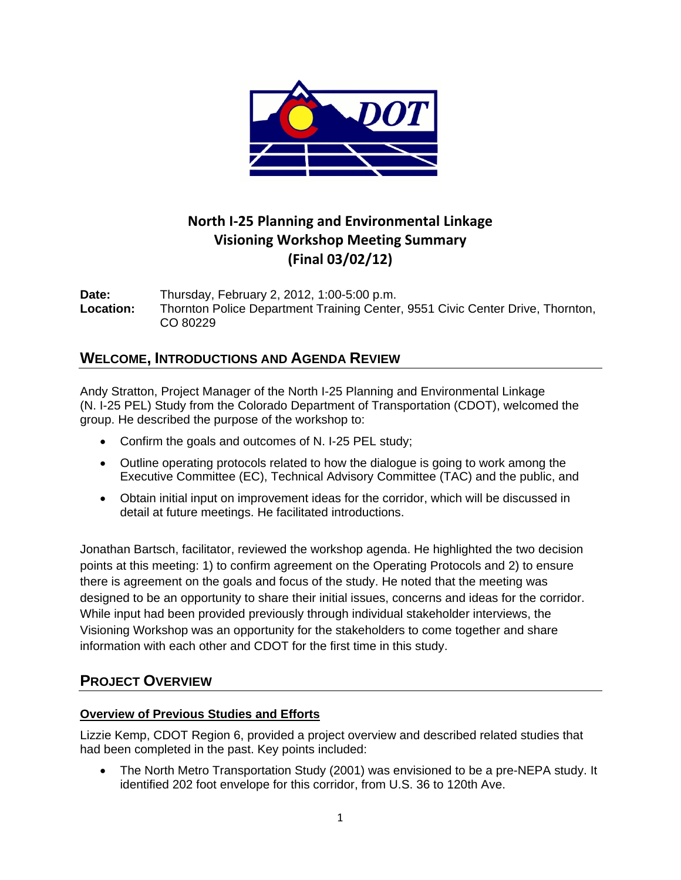

# **North I‐25 Planning and Environmental Linkage Visioning Workshop Meeting Summary (Final 03/02/12)**

**Date:** Thursday, February 2, 2012, 1:00-5:00 p.m. **Location:** Thornton Police Department Training Center, 9551 Civic Center Drive, Thornton, CO 80229

## **WELCOME, INTRODUCTIONS AND AGENDA REVIEW**

Andy Stratton, Project Manager of the North I-25 Planning and Environmental Linkage (N. I-25 PEL) Study from the Colorado Department of Transportation (CDOT), welcomed the group. He described the purpose of the workshop to:

- Confirm the goals and outcomes of N. I-25 PEL study;
- Outline operating protocols related to how the dialogue is going to work among the Executive Committee (EC), Technical Advisory Committee (TAC) and the public, and
- Obtain initial input on improvement ideas for the corridor, which will be discussed in detail at future meetings. He facilitated introductions.

Jonathan Bartsch, facilitator, reviewed the workshop agenda. He highlighted the two decision points at this meeting: 1) to confirm agreement on the Operating Protocols and 2) to ensure there is agreement on the goals and focus of the study. He noted that the meeting was designed to be an opportunity to share their initial issues, concerns and ideas for the corridor. While input had been provided previously through individual stakeholder interviews, the Visioning Workshop was an opportunity for the stakeholders to come together and share information with each other and CDOT for the first time in this study.

# **PROJECT OVERVIEW**

### **Overview of Previous Studies and Efforts**

Lizzie Kemp, CDOT Region 6, provided a project overview and described related studies that had been completed in the past. Key points included:

• The North Metro Transportation Study (2001) was envisioned to be a pre-NEPA study. It identified 202 foot envelope for this corridor, from U.S. 36 to 120th Ave.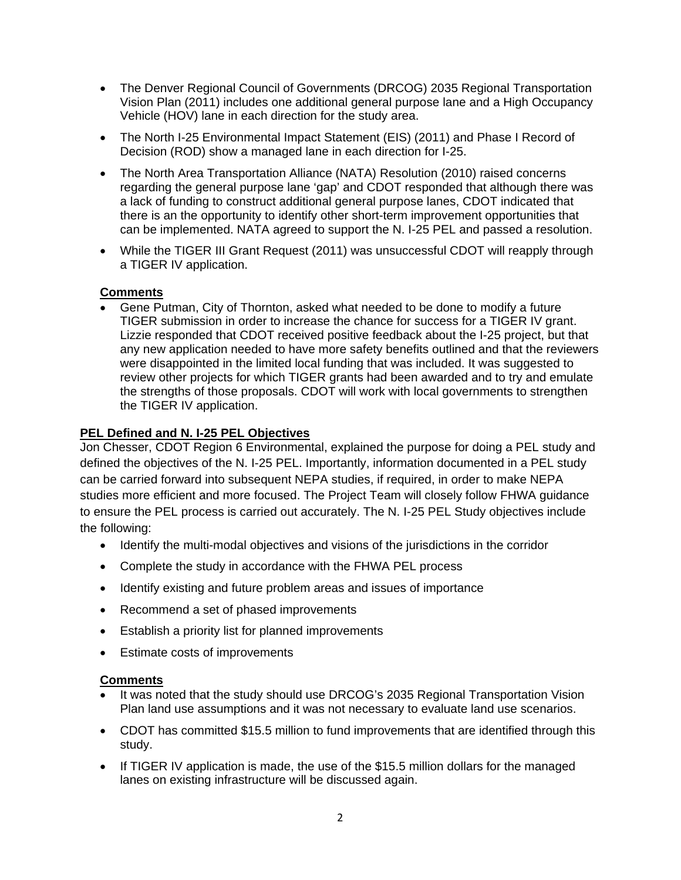- The Denver Regional Council of Governments (DRCOG) 2035 Regional Transportation Vision Plan (2011) includes one additional general purpose lane and a High Occupancy Vehicle (HOV) lane in each direction for the study area.
- The North I-25 Environmental Impact Statement (EIS) (2011) and Phase I Record of Decision (ROD) show a managed lane in each direction for I-25.
- The North Area Transportation Alliance (NATA) Resolution (2010) raised concerns regarding the general purpose lane 'gap' and CDOT responded that although there was a lack of funding to construct additional general purpose lanes, CDOT indicated that there is an the opportunity to identify other short-term improvement opportunities that can be implemented. NATA agreed to support the N. I-25 PEL and passed a resolution.
- While the TIGER III Grant Request (2011) was unsuccessful CDOT will reapply through a TIGER IV application.

### **Comments**

• Gene Putman, City of Thornton, asked what needed to be done to modify a future TIGER submission in order to increase the chance for success for a TIGER IV grant. Lizzie responded that CDOT received positive feedback about the I-25 project, but that any new application needed to have more safety benefits outlined and that the reviewers were disappointed in the limited local funding that was included. It was suggested to review other projects for which TIGER grants had been awarded and to try and emulate the strengths of those proposals. CDOT will work with local governments to strengthen the TIGER IV application.

#### **PEL Defined and N. I-25 PEL Objectives**

Jon Chesser, CDOT Region 6 Environmental, explained the purpose for doing a PEL study and defined the objectives of the N. I-25 PEL. Importantly, information documented in a PEL study can be carried forward into subsequent NEPA studies, if required, in order to make NEPA studies more efficient and more focused. The Project Team will closely follow FHWA guidance to ensure the PEL process is carried out accurately. The N. I-25 PEL Study objectives include the following:

- Identify the multi-modal objectives and visions of the jurisdictions in the corridor
- Complete the study in accordance with the FHWA PEL process
- Identify existing and future problem areas and issues of importance
- Recommend a set of phased improvements
- Establish a priority list for planned improvements
- Estimate costs of improvements

#### **Comments**

- It was noted that the study should use DRCOG's 2035 Regional Transportation Vision Plan land use assumptions and it was not necessary to evaluate land use scenarios.
- CDOT has committed \$15.5 million to fund improvements that are identified through this study.
- If TIGER IV application is made, the use of the \$15.5 million dollars for the managed lanes on existing infrastructure will be discussed again.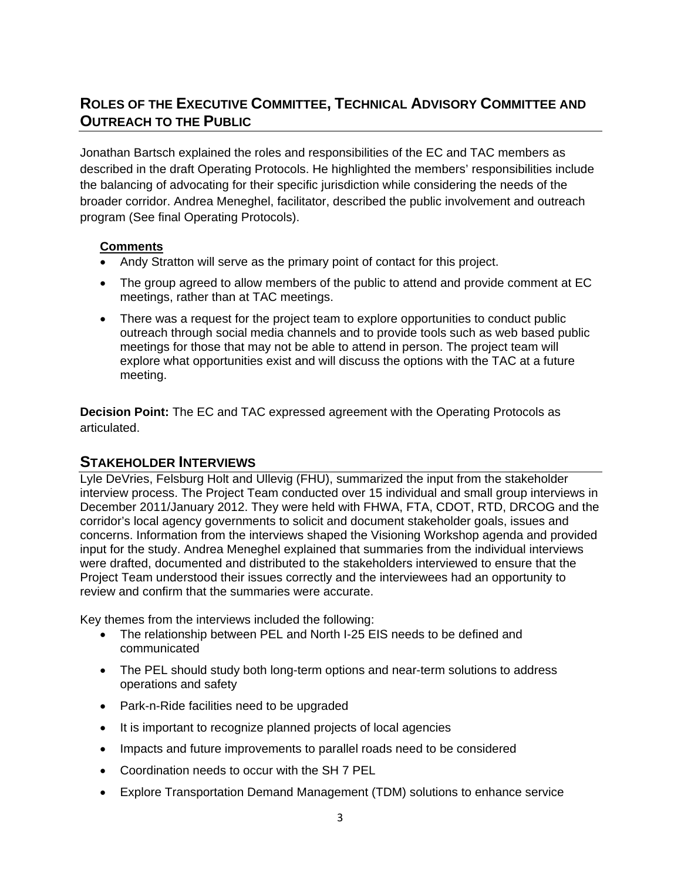# **ROLES OF THE EXECUTIVE COMMITTEE, TECHNICAL ADVISORY COMMITTEE AND OUTREACH TO THE PUBLIC**

Jonathan Bartsch explained the roles and responsibilities of the EC and TAC members as described in the draft Operating Protocols. He highlighted the members' responsibilities include the balancing of advocating for their specific jurisdiction while considering the needs of the broader corridor. Andrea Meneghel, facilitator, described the public involvement and outreach program (See final Operating Protocols).

#### **Comments**

- Andy Stratton will serve as the primary point of contact for this project.
- The group agreed to allow members of the public to attend and provide comment at EC meetings, rather than at TAC meetings.
- There was a request for the project team to explore opportunities to conduct public outreach through social media channels and to provide tools such as web based public meetings for those that may not be able to attend in person. The project team will explore what opportunities exist and will discuss the options with the TAC at a future meeting.

**Decision Point:** The EC and TAC expressed agreement with the Operating Protocols as articulated.

### **STAKEHOLDER INTERVIEWS**

Lyle DeVries, Felsburg Holt and Ullevig (FHU), summarized the input from the stakeholder interview process. The Project Team conducted over 15 individual and small group interviews in December 2011/January 2012. They were held with FHWA, FTA, CDOT, RTD, DRCOG and the corridor's local agency governments to solicit and document stakeholder goals, issues and concerns. Information from the interviews shaped the Visioning Workshop agenda and provided input for the study. Andrea Meneghel explained that summaries from the individual interviews were drafted, documented and distributed to the stakeholders interviewed to ensure that the Project Team understood their issues correctly and the interviewees had an opportunity to review and confirm that the summaries were accurate.

Key themes from the interviews included the following:

- The relationship between PEL and North I-25 EIS needs to be defined and communicated
- The PEL should study both long-term options and near-term solutions to address operations and safety
- Park-n-Ride facilities need to be upgraded
- It is important to recognize planned projects of local agencies
- Impacts and future improvements to parallel roads need to be considered
- Coordination needs to occur with the SH 7 PEL
- Explore Transportation Demand Management (TDM) solutions to enhance service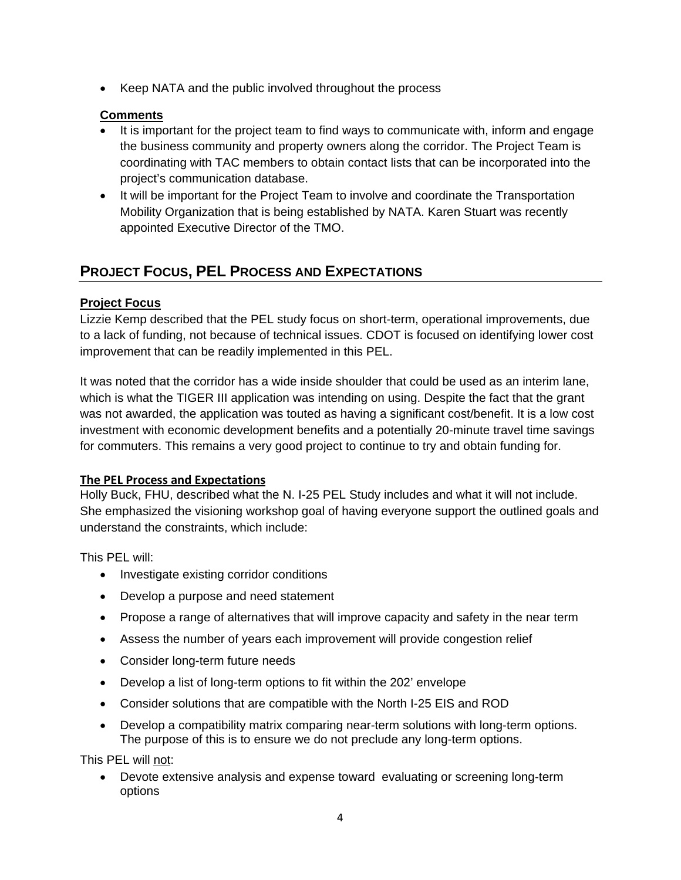• Keep NATA and the public involved throughout the process

### **Comments**

- It is important for the project team to find ways to communicate with, inform and engage the business community and property owners along the corridor. The Project Team is coordinating with TAC members to obtain contact lists that can be incorporated into the project's communication database.
- It will be important for the Project Team to involve and coordinate the Transportation Mobility Organization that is being established by NATA. Karen Stuart was recently appointed Executive Director of the TMO.

# **PROJECT FOCUS, PEL PROCESS AND EXPECTATIONS**

### **Project Focus**

Lizzie Kemp described that the PEL study focus on short-term, operational improvements, due to a lack of funding, not because of technical issues. CDOT is focused on identifying lower cost improvement that can be readily implemented in this PEL.

It was noted that the corridor has a wide inside shoulder that could be used as an interim lane, which is what the TIGER III application was intending on using. Despite the fact that the grant was not awarded, the application was touted as having a significant cost/benefit. It is a low cost investment with economic development benefits and a potentially 20-minute travel time savings for commuters. This remains a very good project to continue to try and obtain funding for.

### **The PEL Process and Expectations**

Holly Buck, FHU, described what the N. I-25 PEL Study includes and what it will not include. She emphasized the visioning workshop goal of having everyone support the outlined goals and understand the constraints, which include:

This PEL will:

- Investigate existing corridor conditions
- Develop a purpose and need statement
- Propose a range of alternatives that will improve capacity and safety in the near term
- Assess the number of years each improvement will provide congestion relief
- Consider long-term future needs
- Develop a list of long-term options to fit within the 202' envelope
- Consider solutions that are compatible with the North I-25 EIS and ROD
- Develop a compatibility matrix comparing near-term solutions with long-term options. The purpose of this is to ensure we do not preclude any long-term options.

This PEL will not:

• Devote extensive analysis and expense toward evaluating or screening long-term options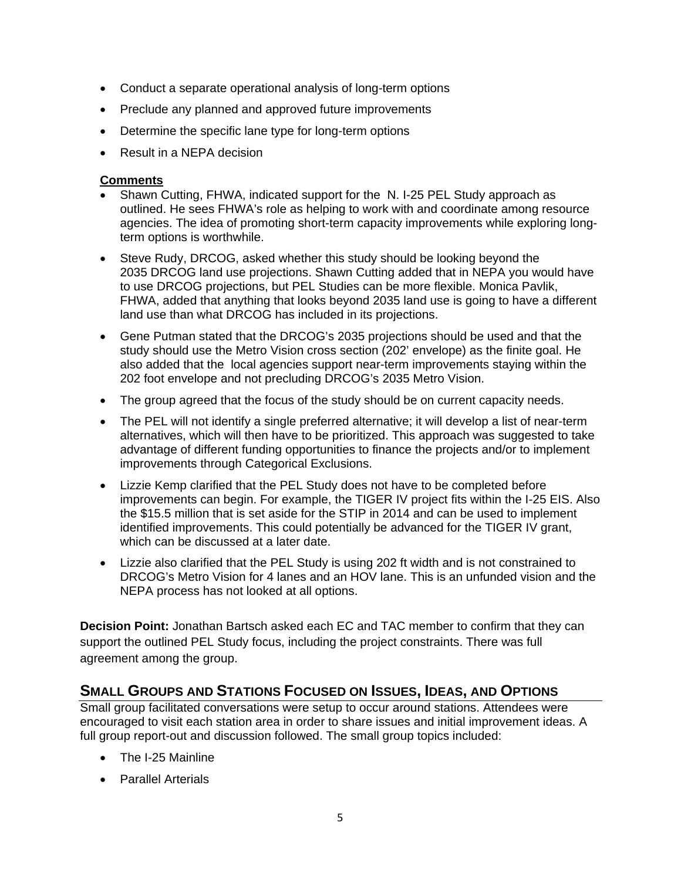- Conduct a separate operational analysis of long-term options
- Preclude any planned and approved future improvements
- Determine the specific lane type for long-term options
- Result in a NEPA decision

#### **Comments**

- Shawn Cutting, FHWA, indicated support for the N. I-25 PEL Study approach as outlined. He sees FHWA's role as helping to work with and coordinate among resource agencies. The idea of promoting short-term capacity improvements while exploring longterm options is worthwhile.
- Steve Rudy, DRCOG, asked whether this study should be looking beyond the 2035 DRCOG land use projections. Shawn Cutting added that in NEPA you would have to use DRCOG projections, but PEL Studies can be more flexible. Monica Pavlik, FHWA, added that anything that looks beyond 2035 land use is going to have a different land use than what DRCOG has included in its projections.
- Gene Putman stated that the DRCOG's 2035 projections should be used and that the study should use the Metro Vision cross section (202' envelope) as the finite goal. He also added that the local agencies support near-term improvements staying within the 202 foot envelope and not precluding DRCOG's 2035 Metro Vision.
- The group agreed that the focus of the study should be on current capacity needs.
- The PEL will not identify a single preferred alternative; it will develop a list of near-term alternatives, which will then have to be prioritized. This approach was suggested to take advantage of different funding opportunities to finance the projects and/or to implement improvements through Categorical Exclusions.
- Lizzie Kemp clarified that the PEL Study does not have to be completed before improvements can begin. For example, the TIGER IV project fits within the I-25 EIS. Also the \$15.5 million that is set aside for the STIP in 2014 and can be used to implement identified improvements. This could potentially be advanced for the TIGER IV grant, which can be discussed at a later date.
- Lizzie also clarified that the PEL Study is using 202 ft width and is not constrained to DRCOG's Metro Vision for 4 lanes and an HOV lane. This is an unfunded vision and the NEPA process has not looked at all options.

**Decision Point:** Jonathan Bartsch asked each EC and TAC member to confirm that they can support the outlined PEL Study focus, including the project constraints. There was full agreement among the group.

### **SMALL GROUPS AND STATIONS FOCUSED ON ISSUES, IDEAS, AND OPTIONS**

Small group facilitated conversations were setup to occur around stations. Attendees were encouraged to visit each station area in order to share issues and initial improvement ideas. A full group report-out and discussion followed. The small group topics included:

- The I-25 Mainline
- Parallel Arterials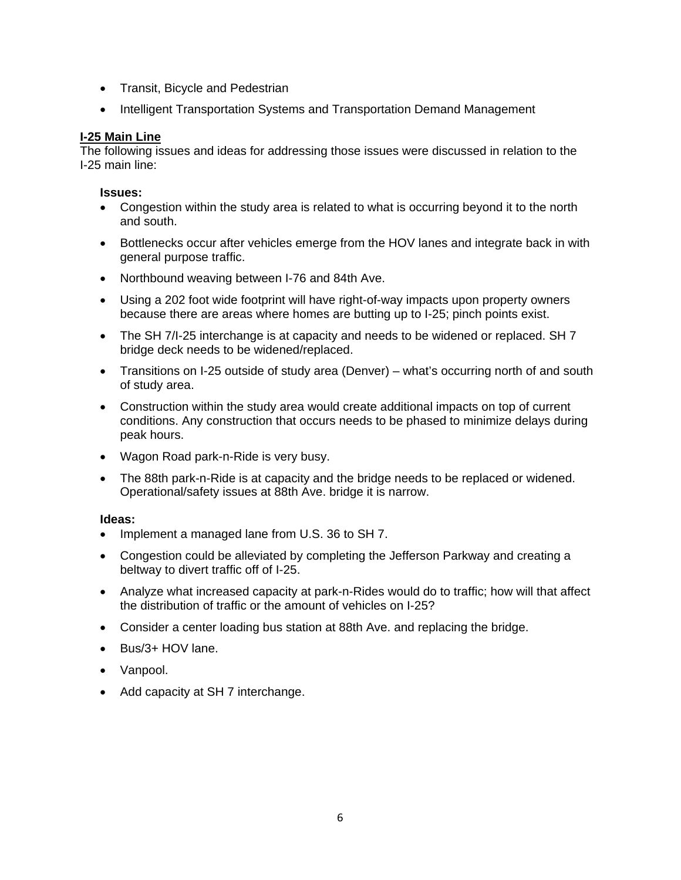- Transit, Bicycle and Pedestrian
- Intelligent Transportation Systems and Transportation Demand Management

#### **I-25 Main Line**

The following issues and ideas for addressing those issues were discussed in relation to the I-25 main line:

#### **Issues:**

- Congestion within the study area is related to what is occurring beyond it to the north and south.
- Bottlenecks occur after vehicles emerge from the HOV lanes and integrate back in with general purpose traffic.
- Northbound weaving between I-76 and 84th Ave.
- Using a 202 foot wide footprint will have right-of-way impacts upon property owners because there are areas where homes are butting up to I-25; pinch points exist.
- The SH 7/I-25 interchange is at capacity and needs to be widened or replaced. SH 7 bridge deck needs to be widened/replaced.
- Transitions on I-25 outside of study area (Denver) what's occurring north of and south of study area.
- Construction within the study area would create additional impacts on top of current conditions. Any construction that occurs needs to be phased to minimize delays during peak hours.
- Wagon Road park-n-Ride is very busy.
- The 88th park-n-Ride is at capacity and the bridge needs to be replaced or widened. Operational/safety issues at 88th Ave. bridge it is narrow.

#### **Ideas:**

- Implement a managed lane from U.S. 36 to SH 7.
- Congestion could be alleviated by completing the Jefferson Parkway and creating a beltway to divert traffic off of I-25.
- Analyze what increased capacity at park-n-Rides would do to traffic; how will that affect the distribution of traffic or the amount of vehicles on I-25?
- Consider a center loading bus station at 88th Ave. and replacing the bridge.
- Bus/3+ HOV lane.
- Vanpool.
- Add capacity at SH 7 interchange.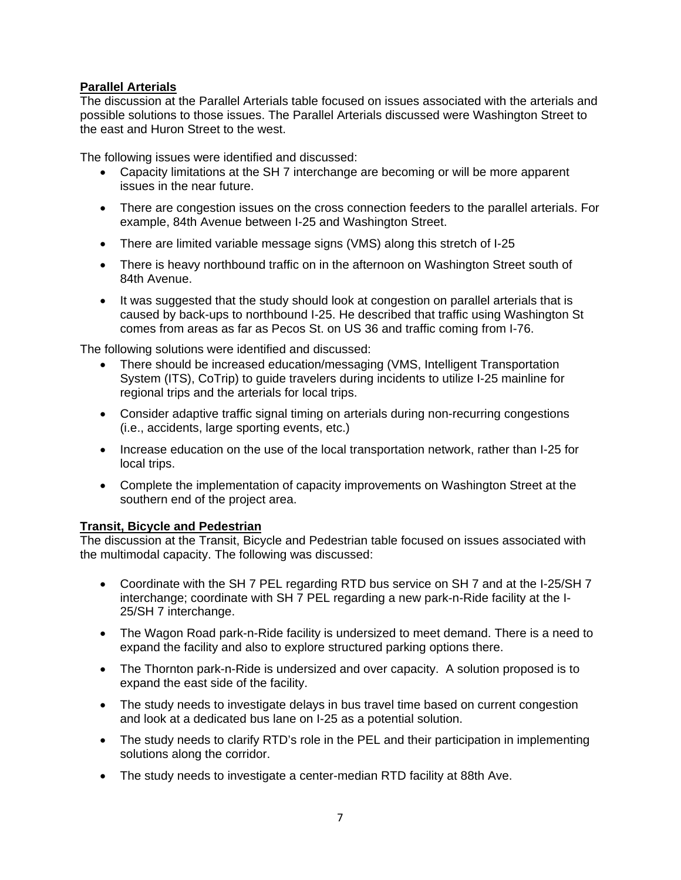#### **Parallel Arterials**

The discussion at the Parallel Arterials table focused on issues associated with the arterials and possible solutions to those issues. The Parallel Arterials discussed were Washington Street to the east and Huron Street to the west.

The following issues were identified and discussed:

- Capacity limitations at the SH 7 interchange are becoming or will be more apparent issues in the near future.
- There are congestion issues on the cross connection feeders to the parallel arterials. For example, 84th Avenue between I-25 and Washington Street.
- There are limited variable message signs (VMS) along this stretch of I-25
- There is heavy northbound traffic on in the afternoon on Washington Street south of 84th Avenue.
- It was suggested that the study should look at congestion on parallel arterials that is caused by back-ups to northbound I-25. He described that traffic using Washington St comes from areas as far as Pecos St. on US 36 and traffic coming from I-76.

The following solutions were identified and discussed:

- There should be increased education/messaging (VMS, Intelligent Transportation System (ITS), CoTrip) to guide travelers during incidents to utilize I-25 mainline for regional trips and the arterials for local trips.
- Consider adaptive traffic signal timing on arterials during non-recurring congestions (i.e., accidents, large sporting events, etc.)
- Increase education on the use of the local transportation network, rather than I-25 for local trips.
- Complete the implementation of capacity improvements on Washington Street at the southern end of the project area.

#### **Transit, Bicycle and Pedestrian**

The discussion at the Transit, Bicycle and Pedestrian table focused on issues associated with the multimodal capacity. The following was discussed:

- Coordinate with the SH 7 PEL regarding RTD bus service on SH 7 and at the I-25/SH 7 interchange; coordinate with SH 7 PEL regarding a new park-n-Ride facility at the I-25/SH 7 interchange.
- The Wagon Road park-n-Ride facility is undersized to meet demand. There is a need to expand the facility and also to explore structured parking options there.
- The Thornton park-n-Ride is undersized and over capacity. A solution proposed is to expand the east side of the facility.
- The study needs to investigate delays in bus travel time based on current congestion and look at a dedicated bus lane on I-25 as a potential solution.
- The study needs to clarify RTD's role in the PEL and their participation in implementing solutions along the corridor.
- The study needs to investigate a center-median RTD facility at 88th Ave.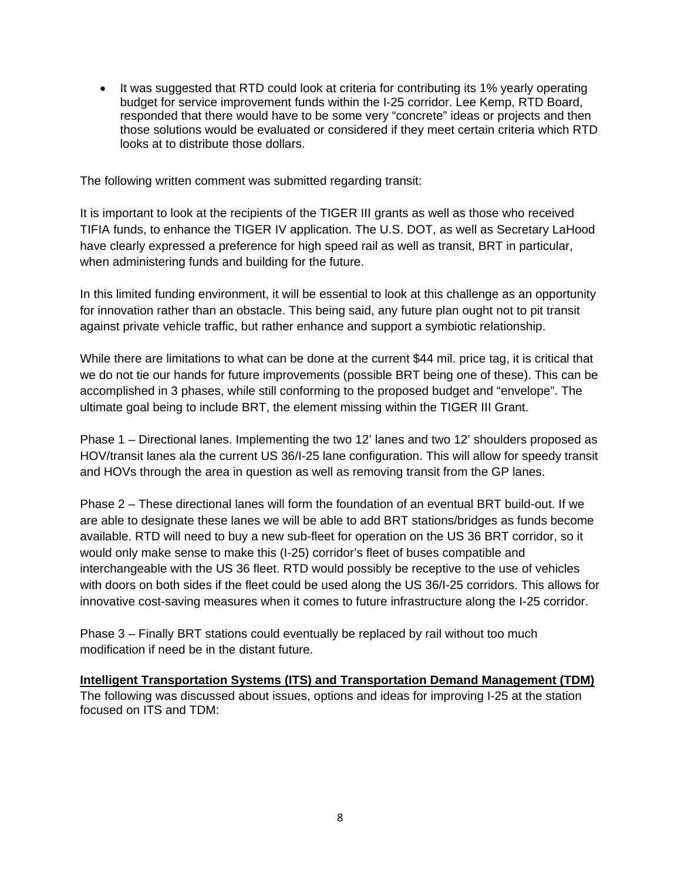• It was suggested that RTD could look at criteria for contributing its 1% yearly operating budget for service improvement funds within the I-25 corridor. Lee Kemp, RTD Board, responded that there would have to be some very "concrete" ideas or projects and then those solutions would be evaluated or considered if they meet certain criteria which RTD looks at to distribute those dollars.

The following written comment was submitted regarding transit:

It is important to look at the recipients of the TIGER III grants as well as those who received TIFIA funds, to enhance the TIGER IV application. The U.S. DOT, as well as Secretary LaHood have clearly expressed a preference for high speed rail as well as transit, BRT in particular, when administering funds and building for the future.

In this limited funding environment, it will be essential to look at this challenge as an opportunity for innovation rather than an obstacle. This being said, any future plan ought not to pit transit against private vehicle traffic, but rather enhance and support a symbiotic relationship.

While there are limitations to what can be done at the current \$44 mil. price tag, it is critical that we do not tie our hands for future improvements (possible BRT being one of these). This can be accomplished in 3 phases, while still conforming to the proposed budget and "envelope". The ultimate goal being to include BRT, the element missing within the TIGER III Grant.

Phase 1 – Directional lanes. Implementing the two 12' lanes and two 12' shoulders proposed as HOV/transit lanes ala the current US 36/I-25 lane configuration. This will allow for speedy transit and HOVs through the area in question as well as removing transit from the GP lanes.

Phase 2 – These directional lanes will form the foundation of an eventual BRT build-out. If we are able to designate these lanes we will be able to add BRT stations/bridges as funds become available. RTD will need to buy a new sub-fleet for operation on the US 36 BRT corridor, so it would only make sense to make this (I-25) corridor's fleet of buses compatible and interchangeable with the US 36 fleet. RTD would possibly be receptive to the use of vehicles with doors on both sides if the fleet could be used along the US 36/I-25 corridors. This allows for innovative cost-saving measures when it comes to future infrastructure along the I-25 corridor.

Phase 3 – Finally BRT stations could eventually be replaced by rail without too much modification if need be in the distant future.

**Intelligent Transportation Systems (ITS) and Transportation Demand Management (TDM)** The following was discussed about issues, options and ideas for improving I-25 at the station focused on ITS and TDM: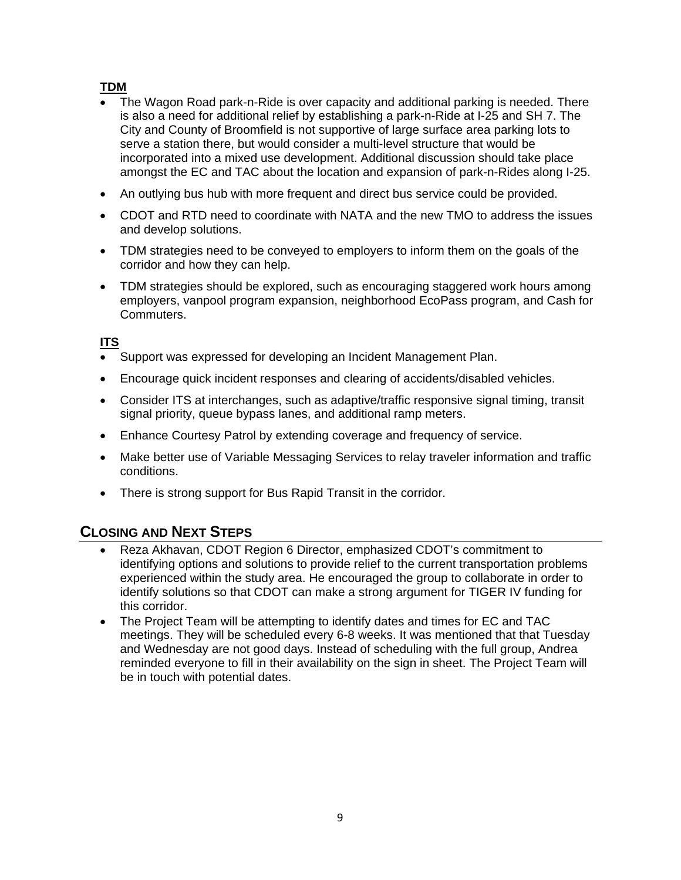### **TDM**

- The Wagon Road park-n-Ride is over capacity and additional parking is needed. There is also a need for additional relief by establishing a park-n-Ride at I-25 and SH 7. The City and County of Broomfield is not supportive of large surface area parking lots to serve a station there, but would consider a multi-level structure that would be incorporated into a mixed use development. Additional discussion should take place amongst the EC and TAC about the location and expansion of park-n-Rides along I-25.
- An outlying bus hub with more frequent and direct bus service could be provided.
- CDOT and RTD need to coordinate with NATA and the new TMO to address the issues and develop solutions.
- TDM strategies need to be conveyed to employers to inform them on the goals of the corridor and how they can help.
- TDM strategies should be explored, such as encouraging staggered work hours among employers, vanpool program expansion, neighborhood EcoPass program, and Cash for Commuters.

### **ITS**

- Support was expressed for developing an Incident Management Plan.
- Encourage quick incident responses and clearing of accidents/disabled vehicles.
- Consider ITS at interchanges, such as adaptive/traffic responsive signal timing, transit signal priority, queue bypass lanes, and additional ramp meters.
- Enhance Courtesy Patrol by extending coverage and frequency of service.
- Make better use of Variable Messaging Services to relay traveler information and traffic conditions.
- There is strong support for Bus Rapid Transit in the corridor.

# **CLOSING AND NEXT STEPS**

- Reza Akhavan, CDOT Region 6 Director, emphasized CDOT's commitment to identifying options and solutions to provide relief to the current transportation problems experienced within the study area. He encouraged the group to collaborate in order to identify solutions so that CDOT can make a strong argument for TIGER IV funding for this corridor.
- The Project Team will be attempting to identify dates and times for EC and TAC meetings. They will be scheduled every 6-8 weeks. It was mentioned that that Tuesday and Wednesday are not good days. Instead of scheduling with the full group, Andrea reminded everyone to fill in their availability on the sign in sheet. The Project Team will be in touch with potential dates.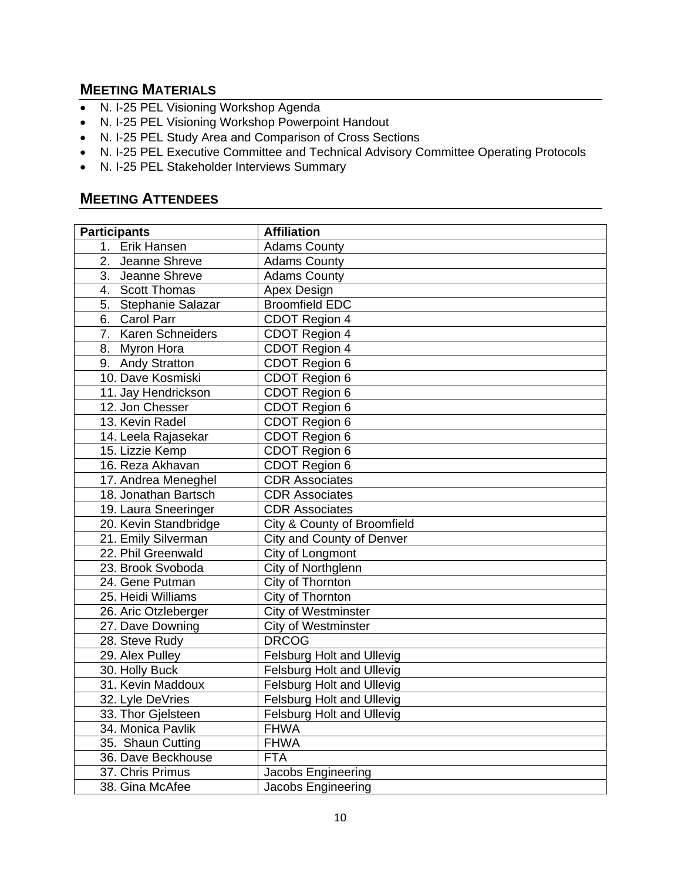## **MEETING MATERIALS**

- N. I-25 PEL Visioning Workshop Agenda
- N. I-25 PEL Visioning Workshop Powerpoint Handout
- N. I-25 PEL Study Area and Comparison of Cross Sections
- N. I-25 PEL Executive Committee and Technical Advisory Committee Operating Protocols
- N. I-25 PEL Stakeholder Interviews Summary

## **MEETING ATTENDEES**

| <b>Participants</b>   | <b>Affiliation</b>               |
|-----------------------|----------------------------------|
| 1. Erik Hansen        | <b>Adams County</b>              |
| 2. Jeanne Shreve      | <b>Adams County</b>              |
| 3. Jeanne Shreve      | <b>Adams County</b>              |
| 4. Scott Thomas       | Apex Design                      |
| 5. Stephanie Salazar  | <b>Broomfield EDC</b>            |
| 6. Carol Parr         | CDOT Region 4                    |
| 7. Karen Schneiders   | CDOT Region 4                    |
| 8. Myron Hora         | CDOT Region 4                    |
| 9. Andy Stratton      | CDOT Region 6                    |
| 10. Dave Kosmiski     | CDOT Region 6                    |
| 11. Jay Hendrickson   | CDOT Region 6                    |
| 12. Jon Chesser       | CDOT Region 6                    |
| 13. Kevin Radel       | CDOT Region 6                    |
| 14. Leela Rajasekar   | CDOT Region 6                    |
| 15. Lizzie Kemp       | CDOT Region 6                    |
| 16. Reza Akhavan      | CDOT Region 6                    |
| 17. Andrea Meneghel   | <b>CDR Associates</b>            |
| 18. Jonathan Bartsch  | <b>CDR Associates</b>            |
| 19. Laura Sneeringer  | <b>CDR Associates</b>            |
| 20. Kevin Standbridge | City & County of Broomfield      |
| 21. Emily Silverman   | City and County of Denver        |
| 22. Phil Greenwald    | City of Longmont                 |
| 23. Brook Svoboda     | City of Northglenn               |
| 24. Gene Putman       | City of Thornton                 |
| 25. Heidi Williams    | City of Thornton                 |
| 26. Aric Otzleberger  | <b>City of Westminster</b>       |
| 27. Dave Downing      | City of Westminster              |
| 28. Steve Rudy        | <b>DRCOG</b>                     |
| 29. Alex Pulley       | Felsburg Holt and Ullevig        |
| 30. Holly Buck        | <b>Felsburg Holt and Ullevig</b> |
| 31. Kevin Maddoux     | <b>Felsburg Holt and Ullevig</b> |
| 32. Lyle DeVries      | <b>Felsburg Holt and Ullevig</b> |
| 33. Thor Gjelsteen    | <b>Felsburg Holt and Ullevig</b> |
| 34. Monica Pavlik     | <b>FHWA</b>                      |
| 35. Shaun Cutting     | <b>FHWA</b>                      |
| 36. Dave Beckhouse    | <b>FTA</b>                       |
| 37. Chris Primus      | Jacobs Engineering               |
| 38. Gina McAfee       | Jacobs Engineering               |